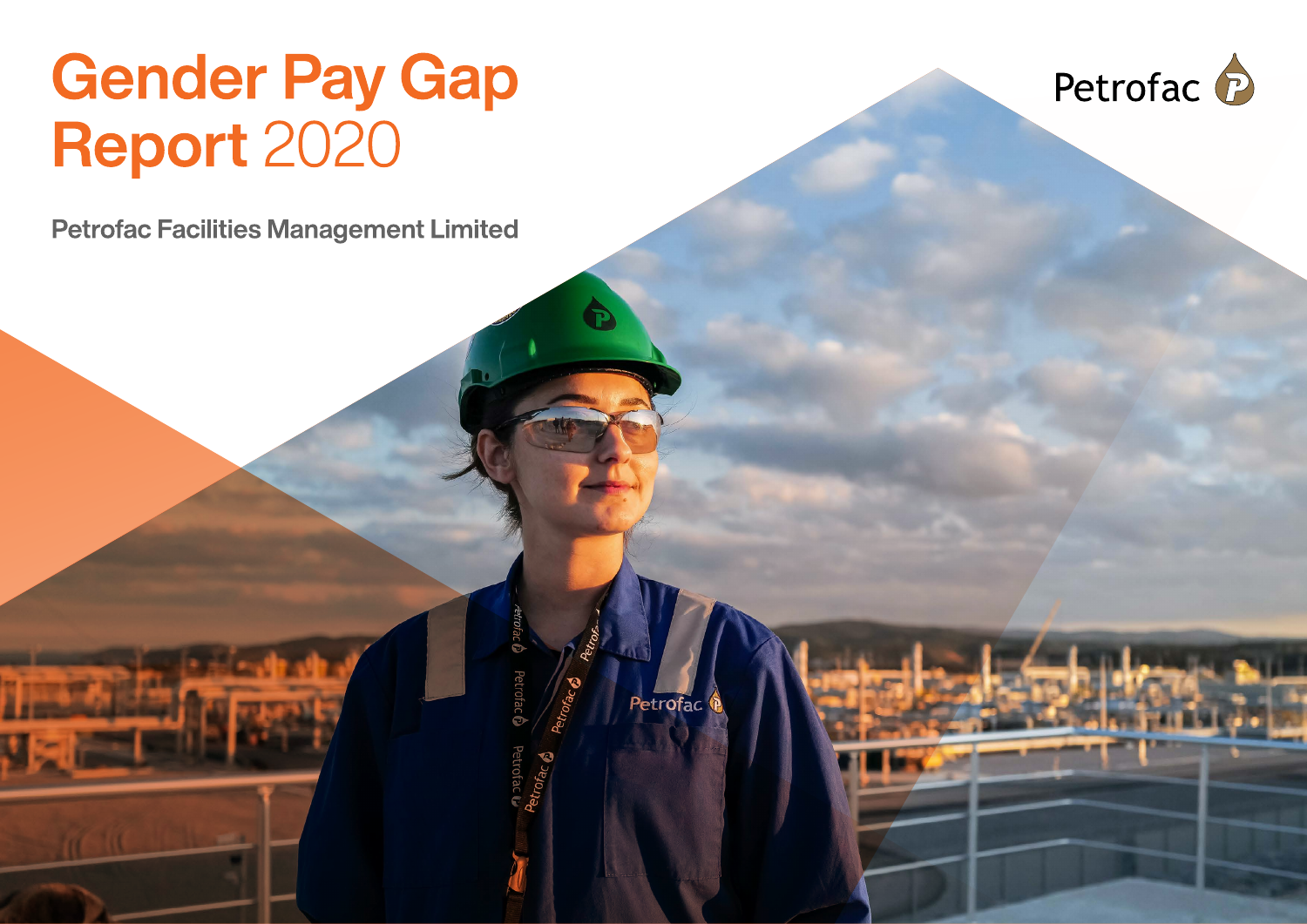# Gender Pay Gap<br>Report 2020

**Petrofac Facilities Management Limited** 



Petrofac

Petrofa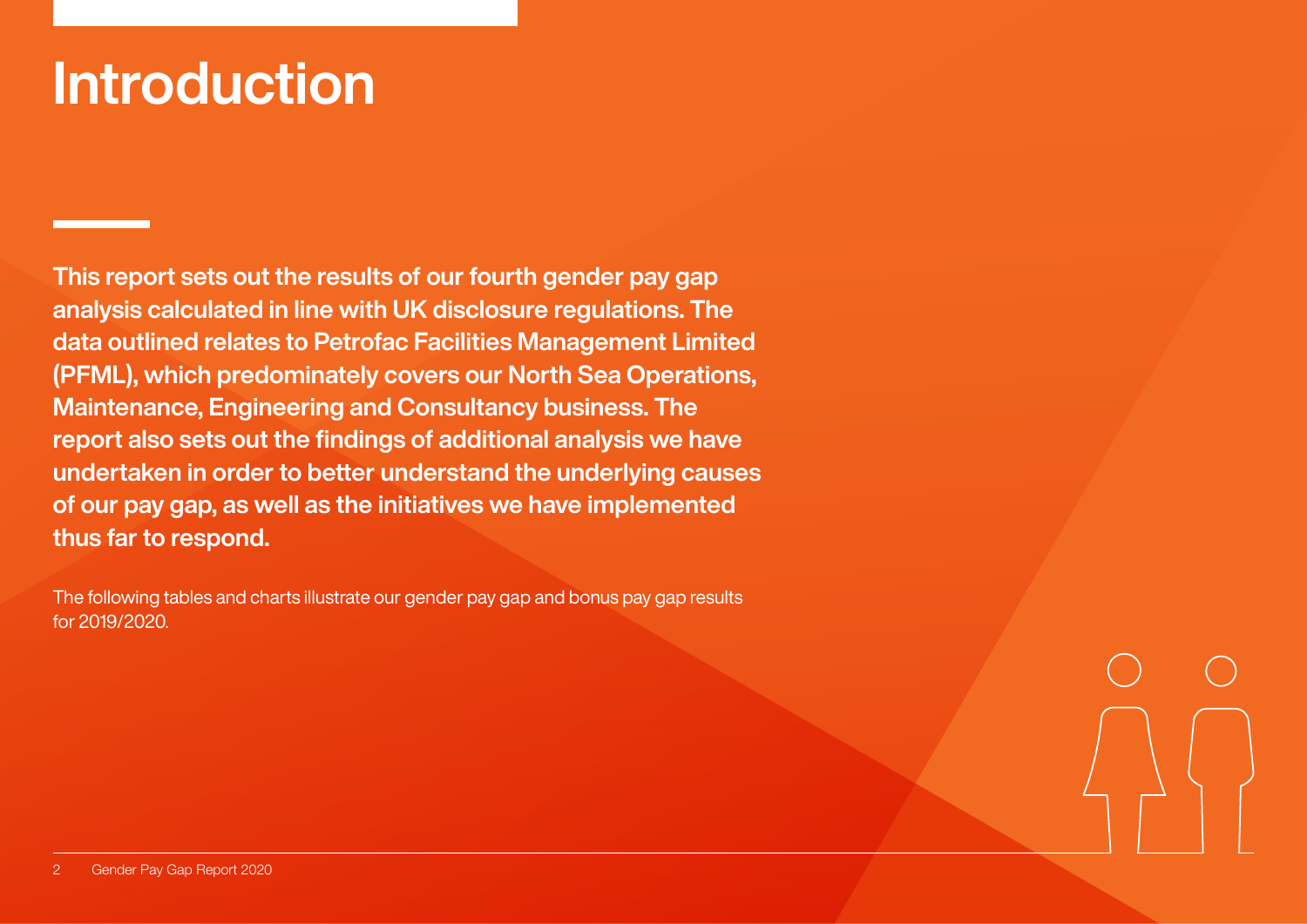### Introduction

This report sets out the results of our fourth gender pay gap analysis calculated in line with UK disclosure regulations. The data outlined relates to Petrofac Facilities Management Limited (PFML), which predominately covers our North Sea Operations, Maintenance, Engineering and Consultancy business. The report also sets out the findings of additional analysis we have undertaken in order to better understand the underlying causes of our pay gap, as well as the initiatives we have implemented thus far to respond.

The following tables and charts illustrate our gender pay gap and bonus pay gap results for 2019/2020.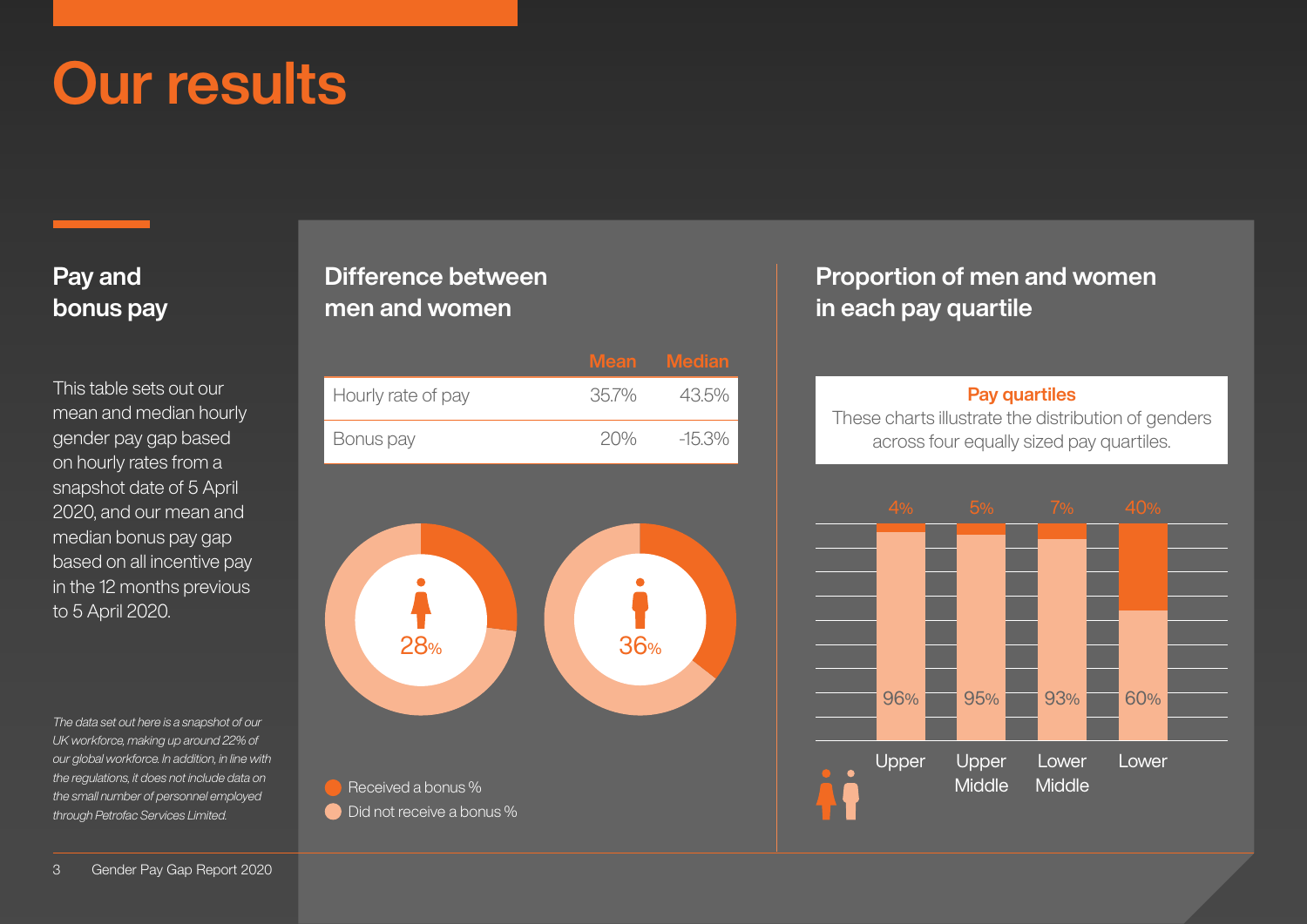### Our results

#### Pay and bonus pay

This table sets out our mean and median hourly gender pay gap based on hourly rates from a snapshot date of 5 April 2020, and our mean and median bonus pay gap based on all incentive pay in the 12 months previous to 5 April 2020.

*The data set out here is a snapshot of our UK workforce, making up around 22% of our global workforce. In addition, in line with the regulations, it does not include data on the small number of personnel employed through Petrofac Services Limited.* 

#### Difference between men and women

|                    |      | Mean Median |
|--------------------|------|-------------|
| Hourly rate of pay | 357% | 43.5%       |
| Bonus pay          | 20%  | -15.3%      |



#### Proportion of men and women in each pay quartile

#### Pay quartiles

These charts illustrate the distribution of genders across four equally sized pay quartiles.

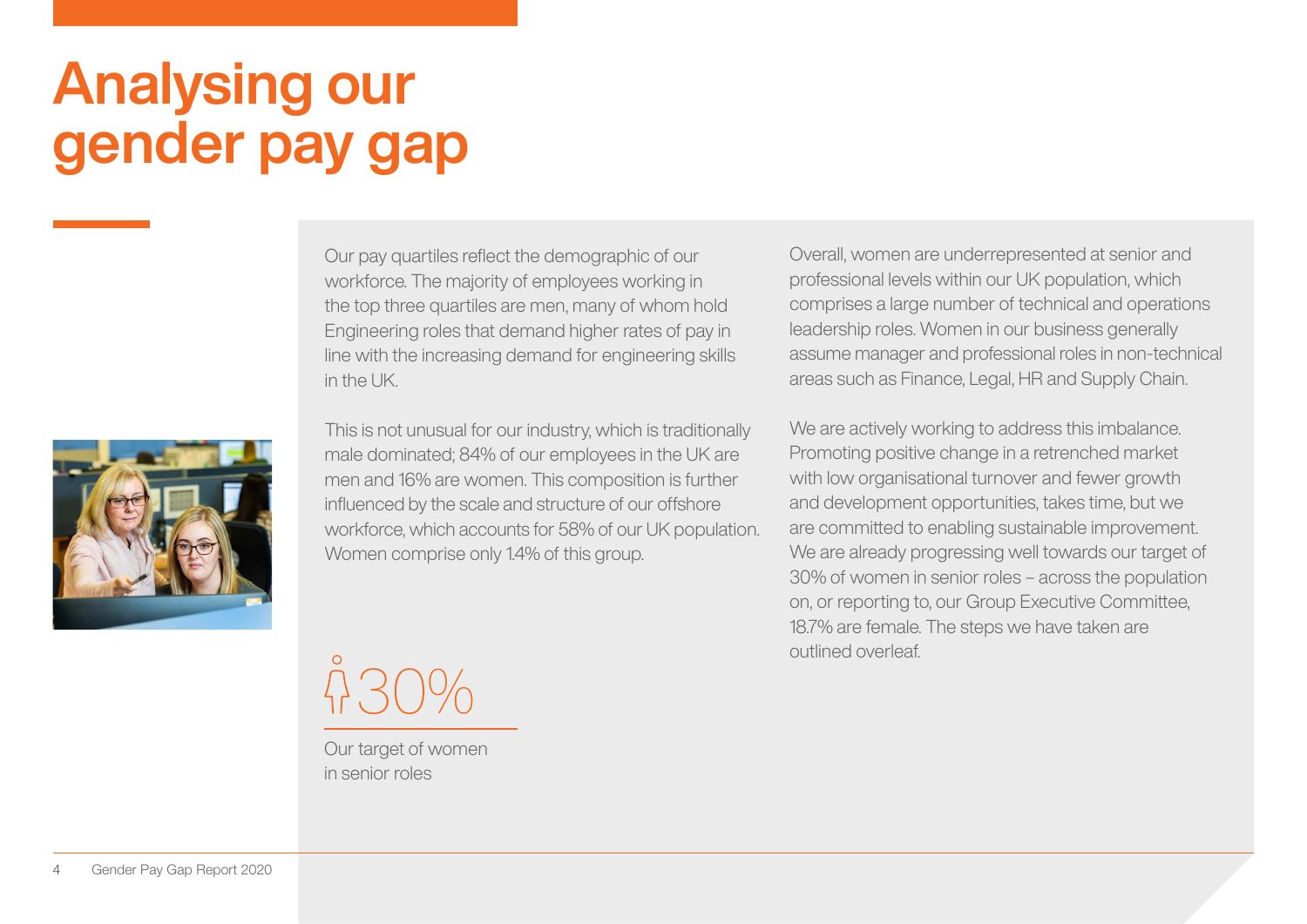# Analysing our gender pay gap

Our pay quartiles reflect the demographic of our workforce. The majority of employees working in the top three quartiles are men, many of whom hold Engineering roles that demand higher rates of pay in line with the increasing demand for engineering skills in the UK

This is not unusual for our industry, which is traditionally male dominated; 84% of our employees in the UK are men and 16% are women. This composition is further influenced by the scale and structure of our offshore workforce, which accounts for 58% of our UK population. Women comprise only 1.4% of this group.

30%

Our target of women in senior roles

Overall, women are underrepresented at senior and professional levels within our UK population, which comprises a large number of technical and operations leadership roles. Women in our business generally assume manager and professional roles in non-technical areas such as Finance, Legal, HR and Supply Chain.

We are actively working to address this imbalance. Promoting positive change in a retrenched market with low organisational turnover and fewer growth and development opportunities, takes time, but we are committed to enabling sustainable improvement. We are already progressing well towards our target of 30% of women in senior roles – across the population on, or reporting to, our Group Executive Committee, 18.7% are female. The steps we have taken are outlined overleaf.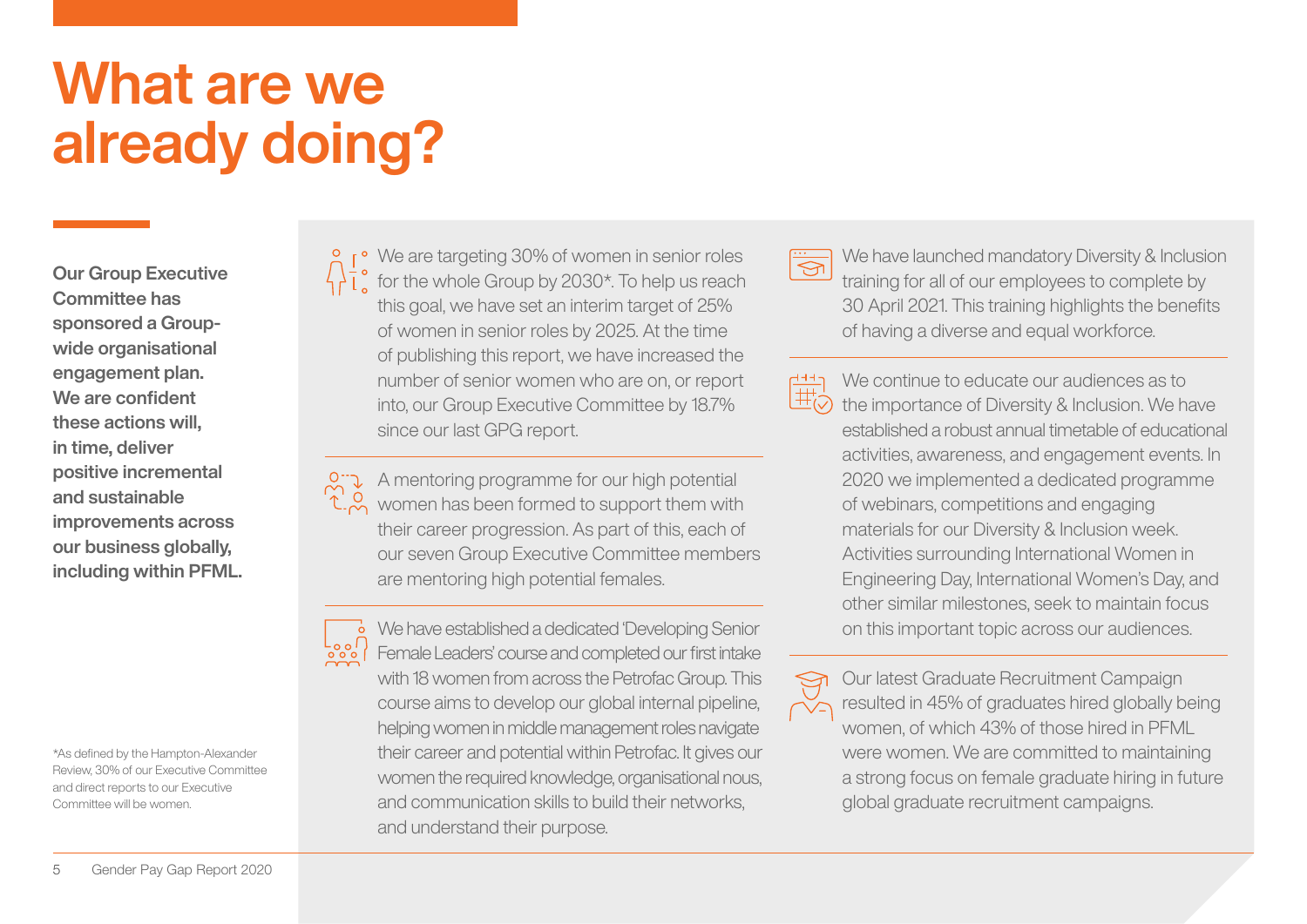### What are we already doing?

Our Group Executive Committee has sponsored a Groupwide organisational engagement plan. We are confident these actions will, in time, deliver positive incremental and sustainable improvements across our business globally, including within PFML.

\*As defined by the Hampton-Alexander Review, 30% of our Executive Committee and direct reports to our Executive Committee will be women.

 $\mathsf{r}$ <sup>o</sup> We are targeting 30% of women in senior roles  $\frac{1}{2}$ ,  $\frac{1}{2}$  for the whole Group by 2030\*. To help us reach this goal, we have set an interim target of 25% of women in senior roles by 2025. At the time of publishing this report, we have increased the number of senior women who are on, or report into, our Group Executive Committee by 18.7% since our last GPG report.

A mentoring programme for our high potential  $\mathcal{L}_{\infty}^{1,Q}$  women has been formed to support them with their career progression. As part of this, each of our seven Group Executive Committee members are mentoring high potential females.

**We have established a dedicated 'Developing Senior**  $\begin{bmatrix} 1 & 0 & 0 \\ 0 & 0 & 0 \\ 0 & 0 & 0 \end{bmatrix}$ Female Leaders' course and completed our first intake with 18 women from across the Petrofac Group. This course aims to develop our global internal pipeline, helping women in middle management roles navigate their career and potential within Petrofac. It gives our women the required knowledge, organisational nous, and communication skills to build their networks, and understand their purpose.

We have launched mandatory Diversity & Inclusion  $\overline{\mathbb{S}}$ training for all of our employees to complete by 30 April 2021. This training highlights the benefits of having a diverse and equal workforce.

We continue to educate our audiences as to د 144 我 the importance of Diversity & Inclusion. We have established a robust annual timetable of educational activities, awareness, and engagement events. In 2020 we implemented a dedicated programme of webinars, competitions and engaging materials for our Diversity & Inclusion week. Activities surrounding International Women in Engineering Day, International Women's Day, and other similar milestones, seek to maintain focus on this important topic across our audiences.

Our latest Graduate Recruitment Campaign resulted in 45% of graduates hired globally being ឃ⊃ women, of which 43% of those hired in PFML were women. We are committed to maintaining a strong focus on female graduate hiring in future global graduate recruitment campaigns.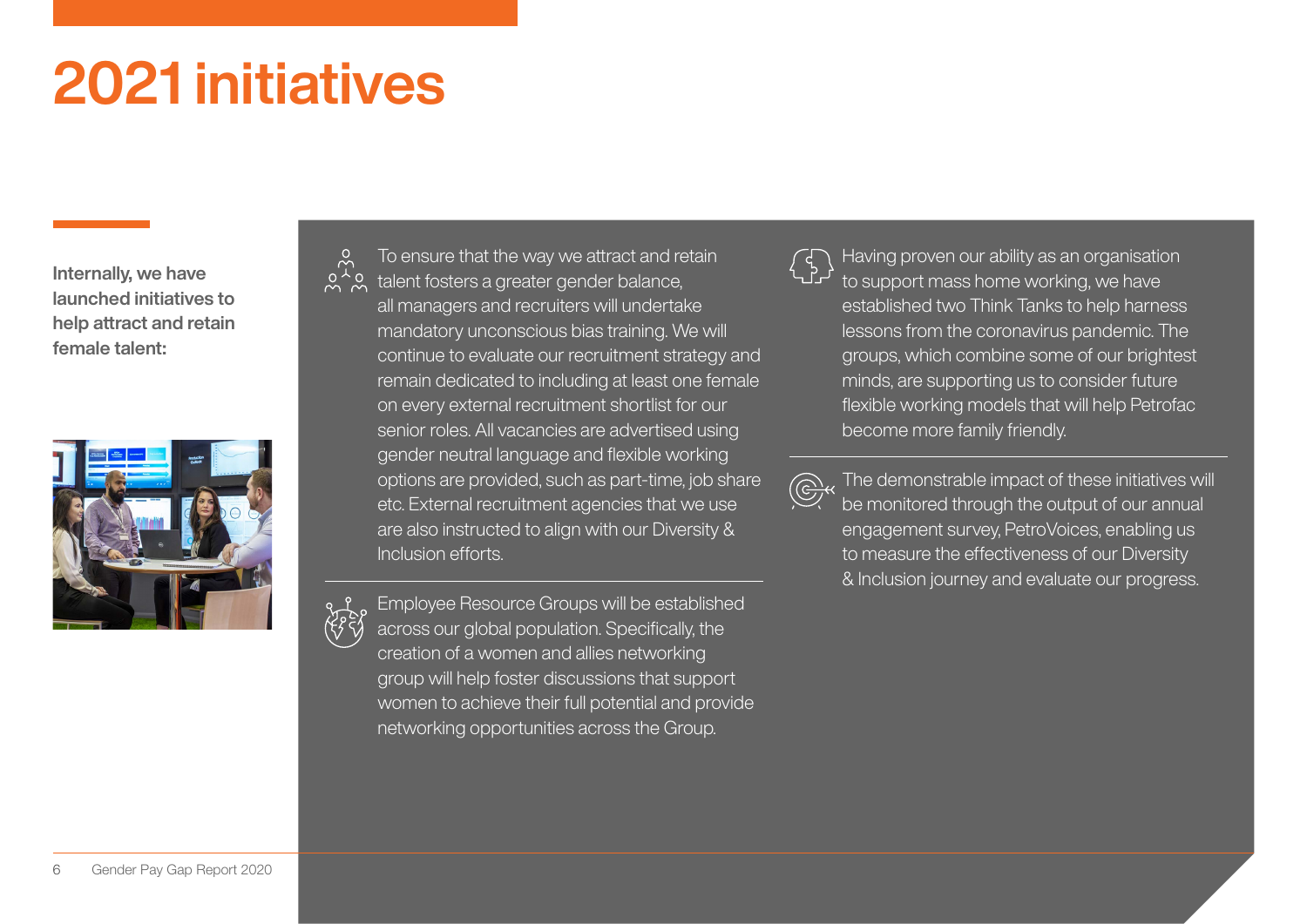# 2021 initiatives

Internally, we have launched initiatives to help attract and retain female talent:



To ensure that the way we attract and retain talent fosters a greater gender balance, all managers and recruiters will undertake mandatory unconscious bias training. We will continue to evaluate our recruitment strategy and remain dedicated to including at least one female on every external recruitment shortlist for our senior roles. All vacancies are advertised using gender neutral language and flexible working options are provided, such as part-time, job share etc. External recruitment agencies that we use are also instructed to align with our Diversity & Inclusion efforts.



Employee Resource Groups will be established across our global population. Specifically, the creation of a women and allies networking group will help foster discussions that support women to achieve their full potential and provide networking opportunities across the Group.

Having proven our ability as an organisation to support mass home working, we have established two Think Tanks to help harness lessons from the coronavirus pandemic. The groups, which combine some of our brightest minds, are supporting us to consider future flexible working models that will help Petrofac become more family friendly.

The demonstrable impact of these initiatives will be monitored through the output of our annual engagement survey, PetroVoices, enabling us to measure the effectiveness of our Diversity & Inclusion journey and evaluate our progress.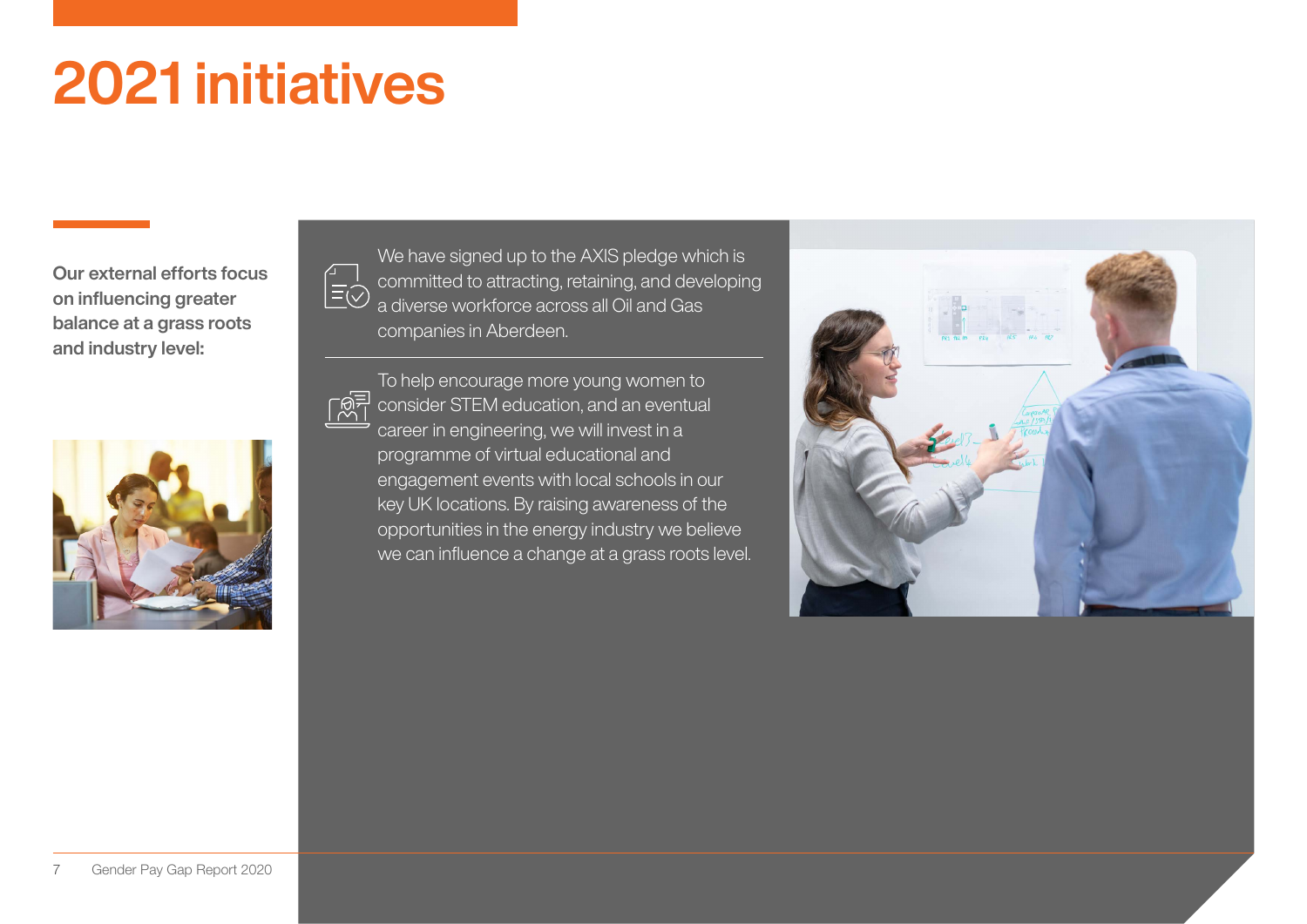# 2021 initiatives

Our external efforts focus on influencing greater balance at a grass roots and industry level:



We have signed up to the AXIS pledge which is committed to attracting, retaining, and developing a diverse workforce across all Oil and Gas companies in Aberdeen.

To help encourage more young women to consider STEM education, and an eventual career in engineering, we will invest in a programme of virtual educational and engagement events with local schools in our key UK locations. By raising awareness of the opportunities in the energy industry we believe we can influence a change at a grass roots level.